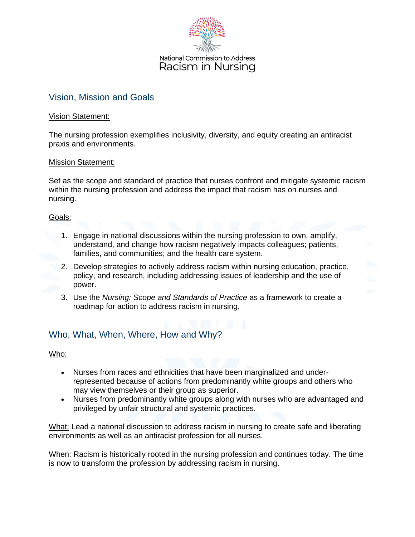

## Vision, Mission and Goals

#### Vision Statement:

The nursing profession exemplifies inclusivity, diversity, and equity creating an antiracist praxis and environments.

#### Mission Statement:

Set as the scope and standard of practice that nurses confront and mitigate systemic racism within the nursing profession and address the impact that racism has on nurses and nursing.

### Goals:

- 1. Engage in national discussions within the nursing profession to own, amplify, understand, and change how racism negatively impacts colleagues; patients, families, and communities; and the health care system.
- 2. Develop strategies to actively address racism within nursing education, practice, policy, and research, including addressing issues of leadership and the use of power.
- 3. Use the *Nursing: Scope and Standards of Practice* as a framework to create a roadmap for action to address racism in nursing.

# Who, What, When, Where, How and Why?

Who:

- Nurses from races and ethnicities that have been marginalized and underrepresented because of actions from predominantly white groups and others who may view themselves or their group as superior.
- Nurses from predominantly white groups along with nurses who are advantaged and privileged by unfair structural and systemic practices.

What: Lead a national discussion to address racism in nursing to create safe and liberating environments as well as an antiracist profession for all nurses.

When: Racism is historically rooted in the nursing profession and continues today. The time is now to transform the profession by addressing racism in nursing.